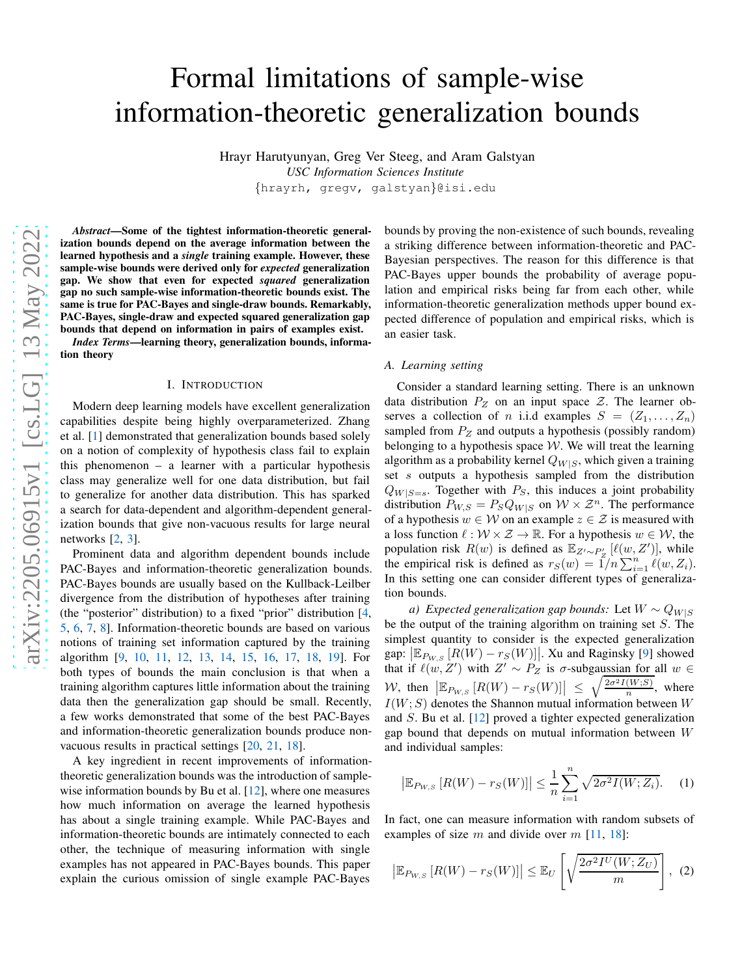# Formal limitations of sample-wise information-theoretic generalization bounds

Hrayr Harutyunyan, Greg Ver Steeg, and Aram Galstyan *USC Information Sciences Institute* {hrayrh, gregv, galstyan}@isi.edu

*Abstract*—Some of the tightest information-theoretic generalization bounds depend on the average information between the learned hypothesis and a *single* training example. However, these sample-wise bounds were derived only for *expected* generalization gap. We show that even for expected *squared* generalization gap no such sample-wise information-theoretic bounds exist. The same is true for PAC-Bayes and single-draw bounds. Remarkably, PAC-Bayes, single-draw and expected squared generalization gap bounds that depend on information in pairs of examples exist.

<span id="page-0-2"></span>*Index Terms*—learning theory, generalization bounds, information theory

#### I. INTRODUCTION

Modern deep learning models have excellent generalization capabilities despite being highly overparameterized. Zhang et al. [\[1\]](#page-5-0) demonstrated that generalization bounds based solely on a notion of complexity of hypothesis class fail to explain this phenomenon – a learner with a particular hypothesis class may generalize well for one data distribution, but fail to generalize for another data distribution. This has sparked a search for data-dependent and algorithm-dependent generalization bounds that give non-vacuous results for large neural networks [\[2](#page-5-1), [3](#page-5-2)].

Prominent data and algorithm dependent bounds include PAC-Bayes and information-theoretic generalization bounds. PAC-Bayes bounds are usually based on the Kullback-Leilber divergence from the distribution of hypotheses after training (the "posterior" distribution) to a fixed "prior" distribution [\[4,](#page-5-3) [5](#page-5-4), [6,](#page-5-5) [7](#page-5-6), [8](#page-5-7)]. Information-theoretic bounds are based on various notions of training set information captured by the training algorithm [\[9](#page-5-8), [10,](#page-5-9) [11,](#page-5-10) [12](#page-5-11), [13,](#page-5-12) [14,](#page-5-13) [15,](#page-5-14) [16](#page-5-15), [17,](#page-5-16) [18](#page-5-17), [19\]](#page-5-18). For both types of bounds the main conclusion is that when a training algorithm captures little information about the training data then the generalization gap should be small. Recently, a few works demonstrated that some of the best PAC-Bayes and information-theoretic generalization bounds produce nonvacuous results in practical settings [20, [21](#page-5-19), [18](#page-5-17)].

A key ingredient in recent improvements of informationtheoretic generalization bounds was the introduction of samplewise information bounds by Bu et al.  $[12]$ , where one measures how much information on average the learned hypothesis has about a single training example. While PAC-Bayes and information-theoretic bounds are intimately connected to each other, the technique of measuring information with single examples has not appeared in PAC-Bayes bounds. This paper explain the curious omission of single example PAC-Bayes

bounds by proving the non-existence of such bounds, revealing a striking difference between information-theoretic and PAC-Bayesian perspectives. The reason for this difference is that PAC-Bayes upper bounds the probability of average population and empirical risks being far from each other, while information-theoretic generalization methods upper bound expected difference of population and empirical risks, which is an easier task.

### *A. Learning setting*

Consider a standard learning setting. There is an unknown data distribution  $P_Z$  on an input space  $Z$ . The learner observes a collection of *n* i.i.d examples  $S = (Z_1, \ldots, Z_n)$ sampled from  $P_Z$  and outputs a hypothesis (possibly random) belonging to a hypothesis space  $W$ . We will treat the learning algorithm as a probability kernel  $Q_{W|S}$ , which given a training set s outputs a hypothesis sampled from the distribution  $Q_{W|S=s}$ . Together with  $P_S$ , this induces a joint probability distribution  $P_{W,S} = P_S Q_{W|S}$  on  $W \times \mathcal{Z}^n$ . The performance of a hypothesis  $w \in W$  on an example  $z \in \mathcal{Z}$  is measured with a loss function  $\ell : \mathcal{W} \times \mathcal{Z} \to \mathbb{R}$ . For a hypothesis  $w \in \mathcal{W}$ , the population risk  $R(w)$  is defined as  $\mathbb{E}_{Z'\sim P'_Z}$  [ $\ell(w, Z')$ ], while the empirical risk is defined as  $r_S(w) = 1/n \sum_{i=1}^n \ell(w, Z_i)$ . In this setting one can consider different types of generalization bounds.

*a)* Expected generalization gap bounds: Let  $W \sim Q_{W|S}$ be the output of the training algorithm on training set  $S$ . The simplest quantity to consider is the expected generalization gap:  $\left[\mathbb{E}_{P_{W,S}}\left[R(W)-r_{S}(W)\right]\right]$ . Xu and Raginsky [\[9](#page-5-8)] showed that if  $\ell(w, Z')$  with  $Z' \sim P_Z$  is  $\sigma$ -subgaussian for all  $w \in$ W, then  $\left| \mathbb{E}_{P_{W,S}} \left[ R(W) - r_S(W) \right] \right| \leq \sqrt{\frac{2\sigma^2 I(W;S)}{n}}$  $\frac{(W, S)}{n}$ , where  $I(W; S)$  denotes the Shannon mutual information between W and S. Bu et al. [\[12\]](#page-5-11) proved a tighter expected generalization gap bound that depends on mutual information between W and individual samples:

<span id="page-0-1"></span><span id="page-0-0"></span>
$$
\left| \mathbb{E}_{P_{W,S}} \left[ R(W) - r_S(W) \right] \right| \le \frac{1}{n} \sum_{i=1}^{n} \sqrt{2\sigma^2 I(W; Z_i)}.
$$
 (1)

In fact, one can measure information with random subsets of examples of size m and divide over  $m$  [\[11,](#page-5-10) [18](#page-5-17)]:

$$
\left|\mathbb{E}_{P_{W,S}}\left[R(W)-r_{S}(W)\right]\right| \leq \mathbb{E}_{U}\left[\sqrt{\frac{2\sigma^{2}I^{U}(W;Z_{U})}{m}}\right], (2)
$$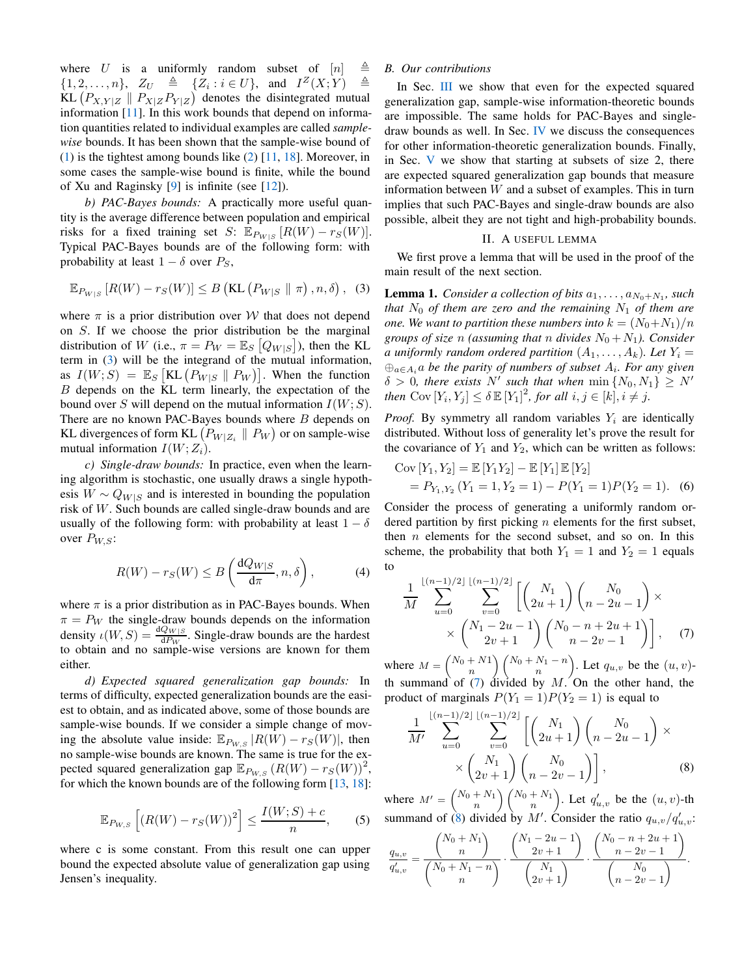where U is a uniformly random subset of  $[n] \triangleq$  $\{1, 2, \ldots, n\}, Z_U \triangleq \{Z_i : i \in U\}, \text{ and } I^Z(X;Y) \triangleq$ KL  $(P_{X,Y|Z} \parallel P_{X|Z}P_{Y|Z})$  denotes the disintegrated mutual information  $[11]$ . In this work bounds that depend on information quantities related to individual examples are called *samplewise* bounds. It has been shown that the sample-wise bound of [\(1\)](#page-0-0) is the tightest among bounds like [\(2\)](#page-0-1) [\[11](#page-5-10), [18](#page-5-17)]. Moreover, in some cases the sample-wise bound is finite, while the bound of Xu and Raginsky [\[9\]](#page-5-8) is infinite (see [\[12](#page-5-11)]).

*b) PAC-Bayes bounds:* A practically more useful quantity is the average difference between population and empirical risks for a fixed training set S:  $\mathbb{E}_{P_{W|S}}[R(W) - r_S(W)]$ . Typical PAC-Bayes bounds are of the following form: with probability at least  $1 - \delta$  over  $P_S$ ,

$$
\mathbb{E}_{P_{W|S}}\left[R(W) - r_S(W)\right] \le B\left(\text{KL}\left(P_{W|S} \parallel \pi\right), n, \delta\right), \tag{3}
$$

where  $\pi$  is a prior distribution over W that does not depend on S. If we choose the prior distribution be the marginal distribution of W (i.e.,  $\pi = P_W = \mathbb{E}_S [Q_{W|S}]$ ), then the KL term in [\(3\)](#page-1-0) will be the integrand of the mutual information, as  $I(W; S) = \mathbb{E}_S \left[ \text{KL} \left( P_{W|S} \parallel P_W \right) \right]$ . When the function B depends on the KL term linearly, the expectation of the bound over S will depend on the mutual information  $I(W; S)$ . There are no known PAC-Bayes bounds where  $B$  depends on KL divergences of form KL  $\left(P_{W|Z_i}\parallel P_W\right)$  or on sample-wise mutual information  $I(W; Z_i)$ .

*c) Single-draw bounds:* In practice, even when the learning algorithm is stochastic, one usually draws a single hypothesis  $W \sim Q_{W|S}$  and is interested in bounding the population risk of W. Such bounds are called single-draw bounds and are usually of the following form: with probability at least  $1 - \delta$ over  $P_{W,S}$ :

$$
R(W) - r_S(W) \le B\left(\frac{dQ_{W|S}}{d\pi}, n, \delta\right),\tag{4}
$$

where  $\pi$  is a prior distribution as in PAC-Bayes bounds. When  $\pi = P_W$  the single-draw bounds depends on the information density  $\iota(W, S) = \frac{dQ_{W|S}}{dP_W}$ . Single-draw bounds are the hardest to obtain and no sample-wise versions are known for them either.

*d) Expected squared generalization gap bounds:* In terms of difficulty, expected generalization bounds are the easiest to obtain, and as indicated above, some of those bounds are sample-wise bounds. If we consider a simple change of moving the absolute value inside:  $\mathbb{E}_{P_{W,S}} |R(W) - r_S(W)|$ , then no sample-wise bounds are known. The same is true for the expected squared generalization gap  $\mathbb{E}_{P_{W,S}}(R(W) - r_S(W))^2$ , for which the known bounds are of the following form [\[13,](#page-5-12) [18](#page-5-17)]:

$$
\mathbb{E}_{P_{W,S}}\left[ \left( R(W) - r_S(W) \right)^2 \right] \le \frac{I(W;S) + c}{n}, \qquad (5)
$$

where c is some constant. From this result one can upper bound the expected absolute value of generalization gap using Jensen's inequality.

# *B. Our contributions*

In Sec. [III](#page-2-0) we show that even for the expected squared generalization gap, sample-wise information-theoretic bounds are impossible. The same holds for PAC-Bayes and singledraw bounds as well. In Sec. [IV](#page-3-0) we discuss the consequences for other information-theoretic generalization bounds. Finally, in Sec. [V](#page-4-0) we show that starting at subsets of size 2, there are expected squared generalization gap bounds that measure information between  $W$  and a subset of examples. This in turn implies that such PAC-Bayes and single-draw bounds are also possible, albeit they are not tight and high-probability bounds.

#### II. A USEFUL LEMMA

<span id="page-1-1"></span><span id="page-1-0"></span>We first prove a lemma that will be used in the proof of the main result of the next section.

**Lemma 1.** Consider a collection of bits  $a_1, \ldots, a_{N_0+N_1}$ , such *that*  $N_0$  *of them are zero and the remaining*  $N_1$  *of them are one.* We want to partition these numbers into  $k = (N_0 + N_1)/n$ *groups of size* n (assuming that n divides  $N_0 + N_1$ ). Consider *a* uniformly random ordered partition  $(A_1, \ldots, A_k)$ . Let  $Y_i =$ ⊕a∈A<sup>i</sup> a *be the parity of numbers of subset* A<sup>i</sup> *. For any given*  $\delta > 0$ , there exists N' such that when  $\min\{N_0, N_1\} \geq N'$  $then \ \mathrm{Cov}\left[Y_i, Y_j\right] \leq \delta \mathbb{E}\left[Y_1\right]^2$ , for all  $i, j \in [k], i \neq j$ .

*Proof.* By symmetry all random variables  $Y_i$  are identically distributed. Without loss of generality let's prove the result for the covariance of  $Y_1$  and  $Y_2$ , which can be written as follows:

Cov 
$$
[Y_1, Y_2] = \mathbb{E}[Y_1Y_2] - \mathbb{E}[Y_1]\mathbb{E}[Y_2]
$$
  
=  $P_{Y_1, Y_2}(Y_1 = 1, Y_2 = 1) - P(Y_1 = 1)P(Y_2 = 1)$ . (6)

Consider the process of generating a uniformly random ordered partition by first picking  $n$  elements for the first subset, then  $n$  elements for the second subset, and so on. In this scheme, the probability that both  $Y_1 = 1$  and  $Y_2 = 1$  equals to

$$
\frac{1}{M} \sum_{u=0}^{\lfloor (n-1)/2 \rfloor} \sum_{v=0}^{\lfloor (n-1)/2 \rfloor} \left[ \binom{N_1}{2u+1} \binom{N_0}{n-2u-1} \right] \times \times \binom{N_1 - 2u - 1}{2v+1} \binom{N_0 - n + 2u + 1}{n-2v-1}, \quad (7)
$$

where  $M = \binom{N_0 + N_1}{n} \binom{N_0 + N_1 - n}{n}$ . Let  $q_{u,v}$  be the  $(u, v)$ th summand of  $(7)$  divided by M. On the other hand, the product of marginals  $P(Y_1 = 1)P(Y_2 = 1)$  is equal to

$$
\frac{1}{M'} \sum_{u=0}^{\lfloor (n-1)/2 \rfloor} \sum_{v=0}^{\lfloor (n-1)/2 \rfloor} \left[ \binom{N_1}{2u+1} \binom{N_0}{n-2u-1} \right] \times \times \binom{N_1}{2v+1} \binom{N_0}{n-2v-1}, \tag{8}
$$

where  $M' = \binom{N_0 + N_1}{n} \binom{N_0 + N_1}{n}$ . Let  $q'_{u,v}$  be the  $(u, v)$ -th summand of [\(8\)](#page-1-1) divided by M'. Consider the ratio  $q_{u,v}/q'_{u,v}$ :

$$
\frac{q_{u,v}}{q'_{u,v}} = \frac{\binom{N_0 + N_1}{n}}{\binom{N_0 + N_1 - n}{n}} \cdot \frac{\binom{N_1 - 2u - 1}{2v + 1}}{\binom{N_1}{2v + 1}} \cdot \frac{\binom{N_0 - n + 2u + 1}{n - 2v - 1}}{\binom{N_0}{n - 2v - 1}}.
$$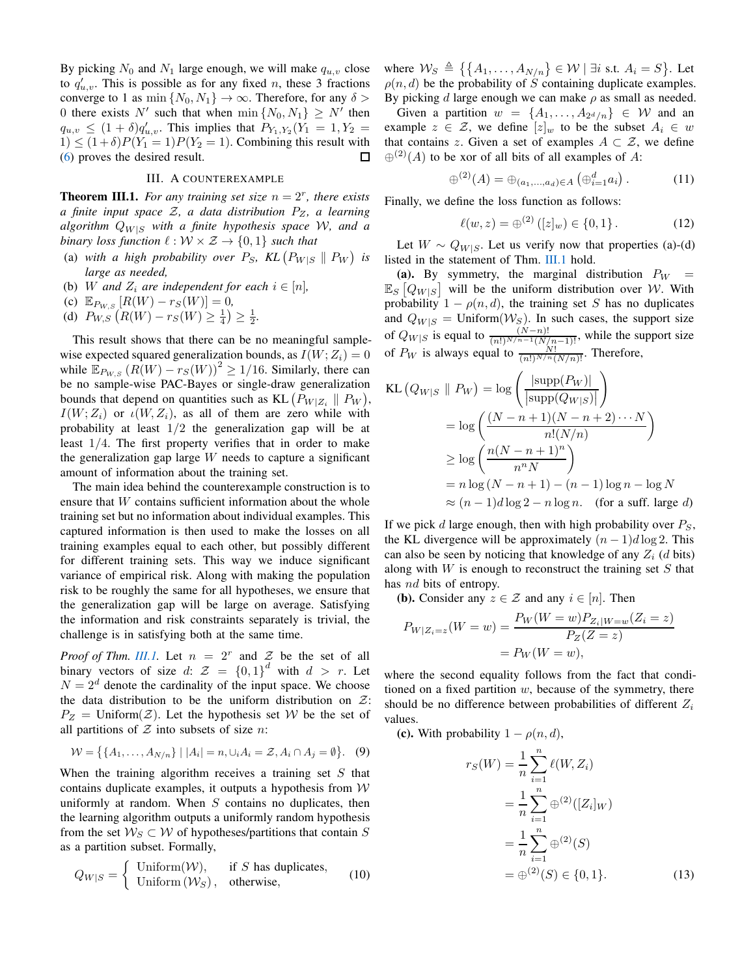By picking  $N_0$  and  $N_1$  large enough, we will make  $q_{u,v}$  close to  $q'_{u,v}$ . This is possible as for any fixed *n*, these 3 fractions converge to 1 as min  $\{N_0, N_1\} \to \infty$ . Therefore, for any  $\delta$ 0 there exists N' such that when  $\min\{N_0, N_1\} \geq N'$  then  $q_{u,v} \leq (1+\delta) q'_{u,v}$ . This implies that  $P_{Y_1,Y_2}(Y_1 = 1, Y_2 =$  $1) \leq (1+\delta)P(Y_1 = 1)P(Y_2 = 1)$ . Combining this result with [\(6\)](#page-1-1) proves the desired result. 口

# III. A COUNTEREXAMPLE

<span id="page-2-1"></span><span id="page-2-0"></span>**Theorem III.1.** For any training set size  $n = 2<sup>r</sup>$ , there exists *a finite input space* Z*, a data distribution* PZ*, a learning algorithm*  $Q_{W|S}$  *with a finite hypothesis space* W, and a *binary loss function*  $\ell : \mathcal{W} \times \mathcal{Z} \rightarrow \{0, 1\}$  *such that* 

- (a) with a high probability over  $P_S$ ,  $KL(P_{W|S} \parallel P_W)$  is *large as needed,*
- (b) W and  $Z_i$  are independent for each  $i \in [n]$ ,
- (c)  $\mathbb{E}_{P_{W,S}}[R(W) r_S(W)] = 0,$
- (d)  $P_{W,S}\left(R(W) r_S(W) \ge \frac{1}{4}\right) \ge \frac{1}{2}$ .

This result shows that there can be no meaningful samplewise expected squared generalization bounds, as  $I(W;Z_i) = 0$ while  $\mathbb{E}_{P_{W,S}}(R(W) - r_S(W))^2 \ge 1/16$ . Similarly, there can be no sample-wise PAC-Bayes or single-draw generalization bounds that depend on quantities such as KL  $(P_{W|Z_i} \parallel P_W)$ ,  $I(W; Z_i)$  or  $\iota(W, Z_i)$ , as all of them are zero while with probability at least  $1/2$  the generalization gap will be at least 1/4. The first property verifies that in order to make the generalization gap large  $W$  needs to capture a significant amount of information about the training set.

The main idea behind the counterexample construction is to ensure that W contains sufficient information about the whole training set but no information about individual examples. This captured information is then used to make the losses on all training examples equal to each other, but possibly different for different training sets. This way we induce significant variance of empirical risk. Along with making the population risk to be roughly the same for all hypotheses, we ensure that the generalization gap will be large on average. Satisfying the information and risk constraints separately is trivial, the challenge is in satisfying both at the same time.

*Proof of Thm. [III.1.](#page-2-1)* Let  $n = 2^r$  and  $\mathcal Z$  be the set of all binary vectors of size d:  $\mathcal{Z} = \{0,1\}^d$  with  $d > r$ . Let  $N = 2<sup>d</sup>$  denote the cardinality of the input space. We choose the data distribution to be the uniform distribution on  $\mathcal{Z}$ :  $P_Z =$  Uniform $(Z)$ . Let the hypothesis set W be the set of all partitions of  $Z$  into subsets of size n:

$$
W = \{ \{A_1, \ldots, A_{N/n} \} \mid |A_i| = n, \cup_i A_i = \mathcal{Z}, A_i \cap A_j = \emptyset \}.
$$
 (9)

When the training algorithm receives a training set  $S$  that contains duplicate examples, it outputs a hypothesis from  $W$ uniformly at random. When  $S$  contains no duplicates, then the learning algorithm outputs a uniformly random hypothesis from the set  $W_S \subset W$  of hypotheses/partitions that contain S as a partition subset. Formally,

$$
Q_{W|S} = \begin{cases} \text{Uniform}(\mathcal{W}), & \text{if } S \text{ has duplicates,} \\ \text{Uniform}(\mathcal{W}_S), & \text{otherwise,} \end{cases} \tag{10}
$$

where  $\mathcal{W}_S \triangleq \{ \{A_1, \ldots, A_{N/n} \} \in \mathcal{W} \mid \exists i \text{ s.t. } A_i = S \}.$  Let  $\rho(n, d)$  be the probability of S containing duplicate examples. By picking  $d$  large enough we can make  $\rho$  as small as needed.

Given a partition  $w = \{A_1, \ldots, A_{2^d/n}\} \in \mathcal{W}$  and an example  $z \in \mathcal{Z}$ , we define  $[z]_w$  to be the subset  $A_i \in w$ that contains z. Given a set of examples  $A \subset \mathcal{Z}$ , we define  $\oplus^{(2)}(A)$  to be xor of all bits of all examples of A:

$$
\oplus^{(2)}(A) = \oplus_{(a_1,...,a_d)\in A} (\oplus_{i=1}^d a_i).
$$
 (11)

Finally, we define the loss function as follows:

<span id="page-2-2"></span>
$$
\ell(w, z) = \bigoplus^{(2)} ([z]_w) \in \{0, 1\}.
$$
 (12)

Let  $W \sim Q_{W|S}$ . Let us verify now that properties (a)-(d) listed in the statement of Thm. [III.1](#page-2-1) hold.

(a). By symmetry, the marginal distribution  $P_W =$  $\mathbb{E}_S [Q_{W|S}]$  will be the uniform distribution over W. With probability  $1 - \rho(n, d)$ , the training set S has no duplicates and  $Q_{W|S} =$  Uniform $(W_S)$ . In such cases, the support size of  $Q_{W|S}$  is equal to  $\frac{(N-n)!}{(n!)^{N/n-1}(N/n-1)!}$ , while the support size of  $P_W$  is always equal to  $\frac{N!}{(n!)^{N/n}(N/n)!}$ . Therefore,

$$
\begin{aligned} \text{KL}\left(Q_{W|S} \parallel P_{W}\right) &= \log \left(\frac{|\text{supp}(P_{W})|}{|\text{supp}(Q_{W|S})|}\right) \\ &= \log \left(\frac{(N-n+1)(N-n+2)\cdots N}{n!(N/n)}\right) \\ &\geq \log \left(\frac{n(N-n+1)^{n}}{n^{n}N}\right) \\ &= n \log(N-n+1) - (n-1) \log n - \log N \\ &\approx (n-1)d \log 2 - n \log n. \quad \text{(for a suff. large } d) \end{aligned}
$$

If we pick d large enough, then with high probability over  $P<sub>S</sub>$ , the KL divergence will be approximately  $(n-1)d \log 2$ . This can also be seen by noticing that knowledge of any  $Z_i$  (d bits) along with  $W$  is enough to reconstruct the training set  $S$  that has *nd* bits of entropy.

(**b**). Consider any  $z \in \mathcal{Z}$  and any  $i \in [n]$ . Then

$$
P_{W|Z_i=z}(W=w) = \frac{P_W(W=w)P_{Z_i|W=w}(Z_i=z)}{P_Z(Z=z)} = P_W(W=w),
$$

where the second equality follows from the fact that conditioned on a fixed partition  $w$ , because of the symmetry, there should be no difference between probabilities of different  $Z_i$ values.

(c). With probability  $1 - \rho(n, d)$ ,

$$
r_S(W) = \frac{1}{n} \sum_{i=1}^n \ell(W, Z_i)
$$
  
= 
$$
\frac{1}{n} \sum_{i=1}^n \oplus^{(2)} ([Z_i]_W)
$$
  
= 
$$
\frac{1}{n} \sum_{i=1}^n \oplus^{(2)}(S)
$$
  
= 
$$
\oplus^{(2)}(S) \in \{0, 1\}.
$$
 (13)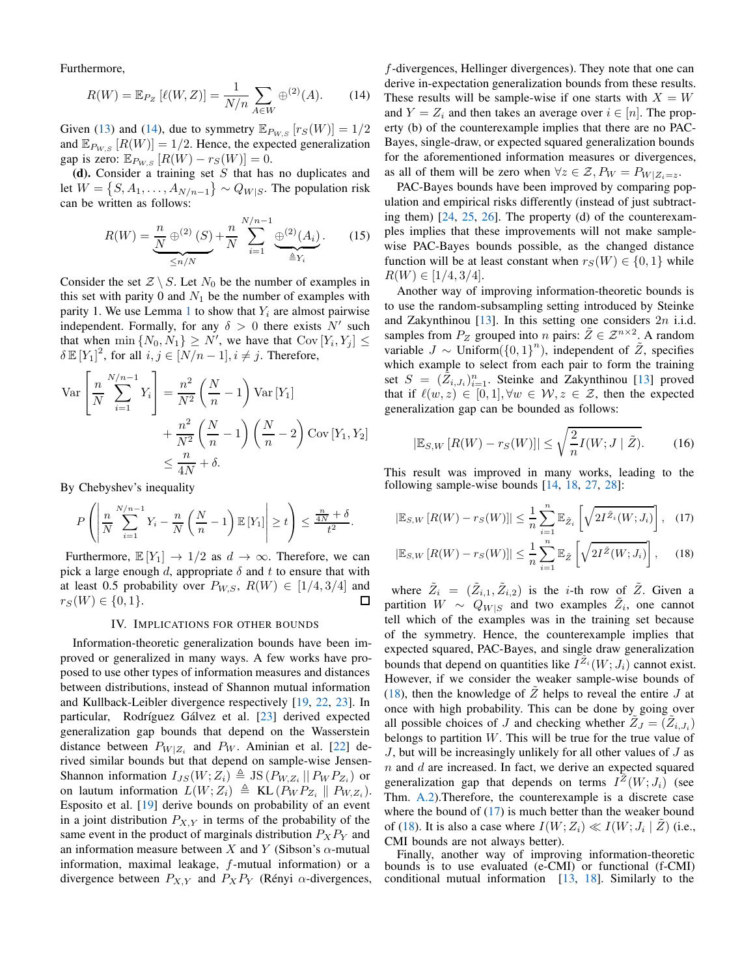Furthermore,

$$
R(W) = \mathbb{E}_{P_Z} [\ell(W, Z)] = \frac{1}{N/n} \sum_{A \in W} \oplus^{(2)}(A). \tag{14}
$$

Given [\(13\)](#page-2-2) and [\(14\)](#page-2-2), due to symmetry  $\mathbb{E}_{P_{W,S}}[r_S(W)] = 1/2$ and  $\mathbb{E}_{P_{W,S}}[R(W)] = 1/2$ . Hence, the expected generalization gap is zero:  $\mathbb{E}_{P_{W,S}}[R(W) - r_S(W)] = 0.$ 

(d). Consider a training set  $S$  that has no duplicates and let  $W = \{S, A_1, \ldots, A_{N/n-1}\} \sim Q_{W|S}$ . The population risk can be written as follows:

$$
R(W) = \underbrace{\frac{n}{N} \oplus^{(2)} (S)}_{\leq n/N} + \frac{n}{N} \sum_{i=1}^{N/n-1} \underbrace{\oplus^{(2)} (A_i)}_{\triangleq Y_i}.
$$
 (15)

Consider the set  $\mathcal{Z} \setminus S$ . Let  $N_0$  be the number of examples in this set with parity 0 and  $N_1$  be the number of examples with parity [1](#page-1-1). We use Lemma 1 to show that  $Y_i$  are almost pairwise independent. Formally, for any  $\delta > 0$  there exists N' such that when  $\min \{N_0, N_1\} \ge N'$ , we have that  $Cov[Y_i, Y_j] \le$  $\delta \mathbb{E}[Y_1]^2$ , for all  $i, j \in [N/n-1], i \neq j$ . Therefore,

$$
\operatorname{Var}\left[\frac{n}{N} \sum_{i=1}^{N/n-1} Y_i\right] = \frac{n^2}{N^2} \left(\frac{N}{n} - 1\right) \operatorname{Var}\left[Y_1\right] + \frac{n^2}{N^2} \left(\frac{N}{n} - 1\right) \left(\frac{N}{n} - 2\right) \operatorname{Cov}\left[Y_1, Y_2\right] \le \frac{n}{4N} + \delta.
$$

By Chebyshev's inequality

$$
P\left(\left|\frac{n}{N}\sum_{i=1}^{N/n-1}Y_i - \frac{n}{N}\left(\frac{N}{n} - 1\right)\mathbb{E}\left[Y_1\right]\right| \geq t\right) \leq \frac{\frac{n}{4N} + \delta}{t^2}.
$$

Furthermore,  $\mathbb{E}[Y_1] \to 1/2$  as  $d \to \infty$ . Therefore, we can pick a large enough d, appropriate  $\delta$  and t to ensure that with at least 0.5 probability over  $P_{W,S}, R(W) \in [1/4, 3/4]$  and  $r_S(W) \in \{0,1\}.$ П

#### IV. IMPLICATIONS FOR OTHER BOUNDS

<span id="page-3-0"></span>Information-theoretic generalization bounds have been improved or generalized in many ways. A few works have proposed to use other types of information measures and distances between distributions, instead of Shannon mutual information and Kullback-Leibler divergence respectively [\[19](#page-5-18), [22](#page-5-20), [23](#page-5-21)]. In particular, Rodríguez Gálvez et al. [\[23](#page-5-21)] derived expected generalization gap bounds that depend on the Wasserstein distance between  $P_{W|Z_i}$  and  $P_W$ . Aminian et al. [\[22\]](#page-5-20) derived similar bounds but that depend on sample-wise Jensen-Shannon information  $I_{JS}(W; Z_i) \triangleq JS (P_{W,Z_i} || P_W P_{Z_i})$  or on lautum information  $L(W; Z_i) \triangleq \text{KL}(P_W P_{Z_i} || P_{W,Z_i}).$ Esposito et al. [\[19\]](#page-5-18) derive bounds on probability of an event in a joint distribution  $P_{X,Y}$  in terms of the probability of the same event in the product of marginals distribution  $P_XP_Y$  and an information measure between X and Y (Sibson's  $\alpha$ -mutual information, maximal leakage, f-mutual information) or a divergence between  $P_{X,Y}$  and  $P_X P_Y$  (Rényi  $\alpha$ -divergences,

f-divergences, Hellinger divergences). They note that one can derive in-expectation generalization bounds from these results. These results will be sample-wise if one starts with  $X = W$ and  $Y = Z_i$  and then takes an average over  $i \in [n]$ . The property (b) of the counterexample implies that there are no PAC-Bayes, single-draw, or expected squared generalization bounds for the aforementioned information measures or divergences, as all of them will be zero when  $\forall z \in \mathcal{Z}, P_W = P_{W|Z_i=z}$ .

PAC-Bayes bounds have been improved by comparing population and empirical risks differently (instead of just subtracting them) [\[24,](#page-5-22) [25,](#page-5-23) [26\]](#page-5-24). The property (d) of the counterexamples implies that these improvements will not make samplewise PAC-Bayes bounds possible, as the changed distance function will be at least constant when  $r_S(W) \in \{0, 1\}$  while  $R(W) \in [1/4, 3/4].$ 

Another way of improving information-theoretic bounds is to use the random-subsampling setting introduced by Steinke and Zakynthinou  $[13]$ . In this setting one considers  $2n$  i.i.d. samples from  $P_Z$  grouped into n pairs:  $\tilde{Z} \in \mathcal{Z}^{n \times 2}$ . A random variable  $J \sim$  Uniform $({0, 1})^n$ ), independent of  $\tilde{Z}$ , specifies which example to select from each pair to form the training set  $S = (\tilde{Z}_{i,J_i})_{i=1}^n$ . Steinke and Zakynthinou [\[13](#page-5-12)] proved that if  $\ell(w, z) \in [0, 1], \forall w \in \mathcal{W}, z \in \mathcal{Z}$ , then the expected generalization gap can be bounded as follows:

<span id="page-3-2"></span>
$$
|\mathbb{E}_{S,W}[R(W) - r_S(W)]| \le \sqrt{\frac{2}{n}I(W; J | \tilde{Z})}.
$$
 (16)

This result was improved in many works, leading to the following sample-wise bounds [\[14,](#page-5-13) [18,](#page-5-17) [27,](#page-5-25) [28\]](#page-5-26):

$$
\left|\mathbb{E}_{S,W}\left[R(W)-r_S(W)\right]\right| \leq \frac{1}{n} \sum_{i=1}^n \mathbb{E}_{\tilde{Z}_i} \left[\sqrt{2I^{\tilde{Z}_i}(W;J_i)}\right], \quad (17)
$$

<span id="page-3-1"></span>
$$
\left|\mathbb{E}_{S,W}\left[R(W)-r_S(W)\right]\right| \leq \frac{1}{n} \sum_{i=1}^n \mathbb{E}_{\tilde{Z}}\left[\sqrt{2I^{\tilde{Z}}(W;J_i)}\right],\qquad(18)
$$

where  $\tilde{Z}_i = (\tilde{Z}_{i,1}, \tilde{Z}_{i,2})$  is the *i*-th row of  $\tilde{Z}$ . Given a partition  $W \sim Q_{W|S}$  and two examples  $\tilde{Z}_i$ , one cannot tell which of the examples was in the training set because of the symmetry. Hence, the counterexample implies that expected squared, PAC-Bayes, and single draw generalization bounds that depend on quantities like  $I^{\tilde{Z}_i}(W; J_i)$  cannot exist. However, if we consider the weaker sample-wise bounds of [\(18\)](#page-3-1), then the knowledge of  $Z$  helps to reveal the entire  $J$  at once with high probability. This can be done by going over all possible choices of J and checking whether  $\tilde{Z}_J = (\tilde{Z}_{i,J_i})$ belongs to partition  $W$ . This will be true for the true value of  $J$ , but will be increasingly unlikely for all other values of  $J$  as  $n$  and  $d$  are increased. In fact, we derive an expected squared generalization gap that depends on terms  $I^{\tilde{Z}}(W;J_i)$  (see Thm. [A.2\)](#page-6-0).Therefore, the counterexample is a discrete case where the bound of  $(17)$  is much better than the weaker bound of [\(18\)](#page-3-1). It is also a case where  $I(W; Z_i) \ll I(W; J_i | \tilde{Z})$  (i.e., CMI bounds are not always better).

Finally, another way of improving information-theoretic bounds is to use evaluated (e-CMI) or functional (f-CMI) conditional mutual information [\[13](#page-5-12), [18](#page-5-17)]. Similarly to the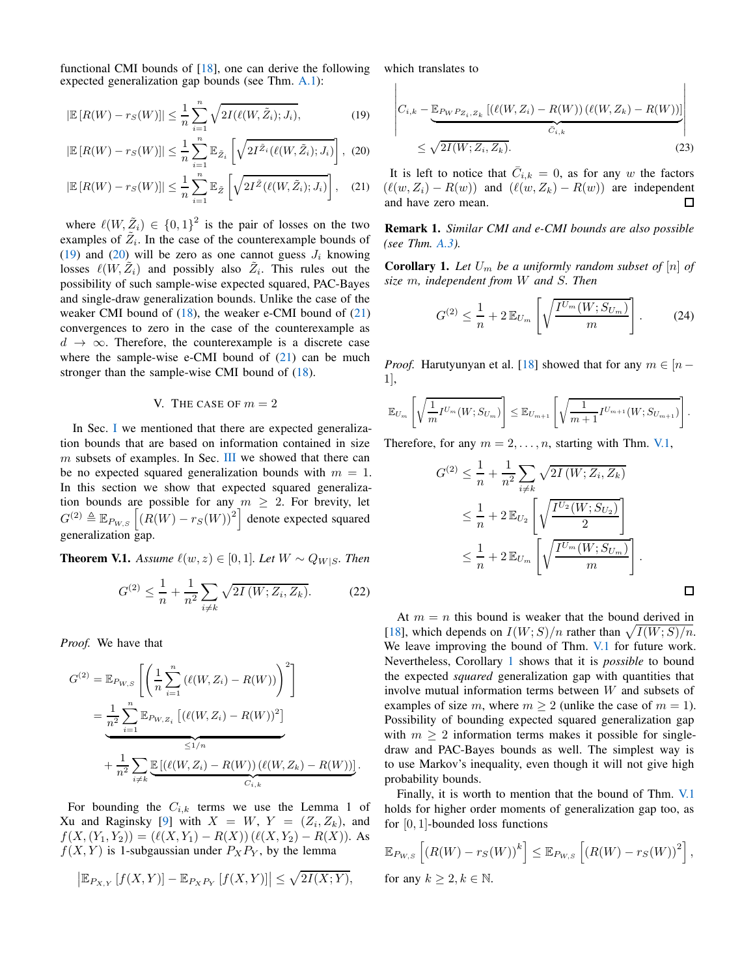functional CMI bounds of [\[18\]](#page-5-17), one can derive the following expected generalization gap bounds (see Thm. [A.1\)](#page-6-1):

$$
\left|\mathbb{E}\left[R(W) - rs(W)\right]\right| \le \frac{1}{n} \sum_{i=1}^{n} \sqrt{2I(\ell(W, \tilde{Z}_i); J_i)},\tag{19}
$$

$$
|\mathbb{E}\left[R(W)-r_S(W)\right]|\leq \frac{1}{n}\sum_{i=1}^n\mathbb{E}_{\tilde{Z}_i}\left[\sqrt{2I^{\tilde{Z}_i}(\ell(W,\tilde{Z}_i);J_i)}\right],\tag{20}
$$

$$
|\mathbb{E}\left[R(W) - rs(W)\right]| \leq \frac{1}{n} \sum_{i=1}^{n} \mathbb{E}_{\tilde{Z}}\left[\sqrt{2I^{\tilde{Z}}(\ell(W, \tilde{Z}_i); J_i)}\right], \quad (21)
$$

where  $\ell(W, \tilde{Z}_i) \in \{0,1\}^2$  is the pair of losses on the two examples of  $\tilde{Z}_i$ . In the case of the counterexample bounds of [\(19\)](#page-4-1) and [\(20\)](#page-4-2) will be zero as one cannot guess  $J_i$  knowing losses  $\ell(W, \tilde{Z}_i)$  and possibly also  $\tilde{Z}_i$ . This rules out the possibility of such sample-wise expected squared, PAC-Bayes and single-draw generalization bounds. Unlike the case of the weaker CMI bound of  $(18)$ , the weaker e-CMI bound of  $(21)$ convergences to zero in the case of the counterexample as  $d \rightarrow \infty$ . Therefore, the counterexample is a discrete case where the sample-wise e-CMI bound of  $(21)$  can be much stronger than the sample-wise CMI bound of [\(18\)](#page-3-1).

### V. THE CASE OF  $m = 2$

<span id="page-4-0"></span>[I](#page-0-2)n Sec. I we mentioned that there are expected generalization bounds that are based on information contained in size  $m$  subsets of examples. In Sec. [III](#page-2-0) we showed that there can be no expected squared generalization bounds with  $m = 1$ . In this section we show that expected squared generalization bounds are possible for any  $m \geq 2$ . For brevity, let  $G^{(2)} \triangleq \mathbb{E}_{P_{W,S}} \left[ \left( R(W) - r_S(W) \right)^2 \right]$  denote expected squared generalization gap.

**Theorem V.1.** *Assume*  $\ell(w, z) \in [0, 1]$ *. Let*  $W \sim Q_{W|S}$ *. Then* 

$$
G^{(2)} \le \frac{1}{n} + \frac{1}{n^2} \sum_{i \neq k} \sqrt{2I(W; Z_i, Z_k)}.
$$
 (22)

*Proof.* We have that

$$
G^{(2)} = \mathbb{E}_{P_{W,S}} \left[ \left( \frac{1}{n} \sum_{i=1}^{n} (\ell(W, Z_i) - R(W)) \right)^2 \right]
$$
  
= 
$$
\underbrace{\frac{1}{n^2} \sum_{i=1}^{n} \mathbb{E}_{P_{W,Z_i}} \left[ (\ell(W, Z_i) - R(W))^2 \right]}_{\leq 1/n}
$$
  
+ 
$$
\frac{1}{n^2} \sum_{i \neq k} \underbrace{\mathbb{E} [ (\ell(W, Z_i) - R(W)) (\ell(W, Z_k) - R(W)) ]}_{C_{i,k}}.
$$

For bounding the  $C_{i,k}$  terms we use the Lemma 1 of Xu and Raginsky [\[9\]](#page-5-8) with  $X = W$ ,  $Y = (Z_i, Z_k)$ , and  $f(X,(Y_1,Y_2)) = (\ell(X,Y_1) - R(X)) (\ell(X,Y_2) - R(X)).$  As  $f(X, Y)$  is 1-subgaussian under  $P_XP_Y$ , by the lemma

$$
\left| \mathbb{E}_{P_{X,Y}} \left[ f(X,Y) \right] - \mathbb{E}_{P_X P_Y} \left[ f(X,Y) \right] \right| \leq \sqrt{2I(X;Y)},
$$

which translates to

<span id="page-4-1"></span>
$$
\begin{aligned}\n\left| C_{i,k} - \underbrace{\mathbb{E}_{P_W P_{Z_i, Z_k}} \left[ (\ell(W, Z_i) - R(W)) (\ell(W, Z_k) - R(W)) \right]}_{C_{i,k}} \right| \\
&\leq \sqrt{2I(W; Z_i, Z_k)}.\n\end{aligned} \tag{23}
$$

 $\overline{\phantom{a}}$ 

<span id="page-4-3"></span><span id="page-4-2"></span>It is left to notice that  $\overline{C}_{i,k} = 0$ , as for any w the factors  $(\ell(w, Z_i) - R(w))$  and  $(\ell(w, Z_k) - R(w))$  are independent and have zero mean. □

Remark 1. *Similar CMI and e-CMI bounds are also possible (see Thm. [A.3\)](#page-8-0).*

**Corollary 1.** Let  $U_m$  be a uniformly random subset of  $[n]$  of *size* m*, independent from* W *and* S*. Then*

<span id="page-4-5"></span>
$$
G^{(2)} \le \frac{1}{n} + 2 \mathbb{E}_{U_m} \left[ \sqrt{\frac{I^{U_m}(W; S_{U_m})}{m}} \right].
$$
 (24)

*Proof.* Harutyunyan et al. [\[18\]](#page-5-17) showed that for any  $m \in [n - 1]$ 1],

$$
\mathbb{E}_{U_m}\left[\sqrt{\frac{1}{m}I^{U_m}(W;S_{U_m})}\right] \leq \mathbb{E}_{U_{m+1}}\left[\sqrt{\frac{1}{m+1}I^{U_{m+1}}(W;S_{U_{m+1}})}\right].
$$

Therefore, for any  $m = 2, \ldots, n$ , starting with Thm. [V.1,](#page-4-4)

$$
G^{(2)} \leq \frac{1}{n} + \frac{1}{n^2} \sum_{i \neq k} \sqrt{2I(W; Z_i, Z_k)}
$$
  
\n
$$
\leq \frac{1}{n} + 2 \mathbb{E}_{U_2} \left[ \sqrt{\frac{I^{U_2}(W; S_{U_2})}{2}} \right]
$$
  
\n
$$
\leq \frac{1}{n} + 2 \mathbb{E}_{U_m} \left[ \sqrt{\frac{I^{U_m}(W; S_{U_m})}{m}} \right].
$$

<span id="page-4-4"></span>At  $m = n$  this bound is weaker that the bound derived in [\[18](#page-5-17)], which depends on  $I(W;S)/n$  rather than  $\sqrt{I(W;S)/n}$ . We leave improving the bound of Thm. [V.1](#page-4-4) for future work. Nevertheless, Corollary [1](#page-4-5) shows that it is *possible* to bound the expected *squared* generalization gap with quantities that involve mutual information terms between W and subsets of examples of size m, where  $m \geq 2$  (unlike the case of  $m = 1$ ). Possibility of bounding expected squared generalization gap with  $m > 2$  information terms makes it possible for singledraw and PAC-Bayes bounds as well. The simplest way is to use Markov's inequality, even though it will not give high probability bounds.

Finally, it is worth to mention that the bound of Thm. [V.1](#page-4-4) holds for higher order moments of generalization gap too, as for [0, 1]-bounded loss functions

$$
\mathbb{E}_{P_{W,S}}\left[\left(R(W) - r_S(W)\right)^k\right] \leq \mathbb{E}_{P_{W,S}}\left[\left(R(W) - r_S(W)\right)^2\right],
$$
  
for any  $k \geq 2, k \in \mathbb{N}$ .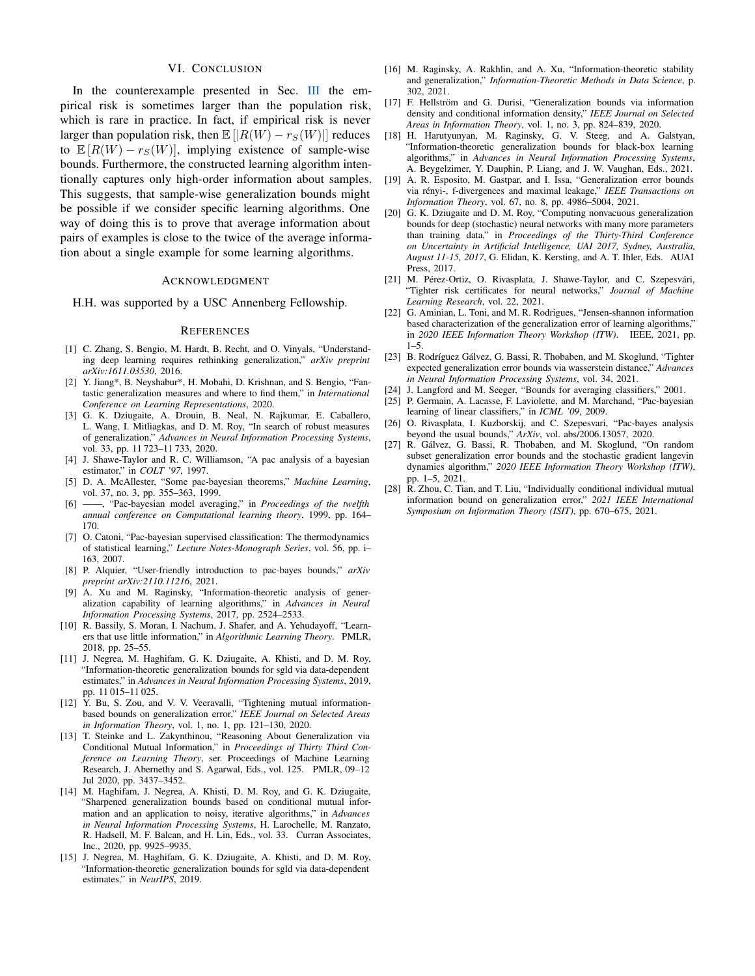#### VI. CONCLUSION

In the counterexample presented in Sec. [III](#page-2-0) the empirical risk is sometimes larger than the population risk, which is rare in practice. In fact, if empirical risk is never larger than population risk, then  $\mathbb{E}[|R(W) - r_S(W)|]$  reduces to  $\mathbb{E}[R(W) - r_S(W)]$ , implying existence of sample-wise bounds. Furthermore, the constructed learning algorithm intentionally captures only high-order information about samples. This suggests, that sample-wise generalization bounds might be possible if we consider specific learning algorithms. One way of doing this is to prove that average information about pairs of examples is close to the twice of the average information about a single example for some learning algorithms.

#### ACKNOWLEDGMENT

H.H. was supported by a USC Annenberg Fellowship.

#### **REFERENCES**

- <span id="page-5-0"></span>[1] C. Zhang, S. Bengio, M. Hardt, B. Recht, and O. Vinyals, "Understanding deep learning requires rethinking generalization," *arXiv preprint arXiv:1611.03530*, 2016.
- <span id="page-5-1"></span>[2] Y. Jiang\*, B. Neyshabur\*, H. Mobahi, D. Krishnan, and S. Bengio, "Fantastic generalization measures and where to find them," in *International Conference on Learning Representations*, 2020.
- <span id="page-5-2"></span>[3] G. K. Dziugaite, A. Drouin, B. Neal, N. Rajkumar, E. Caballero, L. Wang, I. Mitliagkas, and D. M. Roy, "In search of robust measures of generalization," *Advances in Neural Information Processing Systems*, vol. 33, pp. 11 723–11 733, 2020.
- <span id="page-5-3"></span>[4] J. Shawe-Taylor and R. C. Williamson, "A pac analysis of a bayesian estimator," in *COLT '97*, 1997.
- <span id="page-5-4"></span>[5] D. A. McAllester, "Some pac-bayesian theorems," *Machine Learning*, vol. 37, no. 3, pp. 355–363, 1999.
- <span id="page-5-5"></span>[6] ——, "Pac-bayesian model averaging," in *Proceedings of the twelfth annual conference on Computational learning theory*, 1999, pp. 164– 170.
- <span id="page-5-6"></span>[7] O. Catoni, "Pac-bayesian supervised classification: The thermodynamics of statistical learning," *Lecture Notes-Monograph Series*, vol. 56, pp. i– 163, 2007.
- <span id="page-5-7"></span>[8] P. Alquier, "User-friendly introduction to pac-bayes bounds," *arXiv preprint arXiv:2110.11216*, 2021.
- <span id="page-5-8"></span>A. Xu and M. Raginsky, "Information-theoretic analysis of generalization capability of learning algorithms," in *Advances in Neural Information Processing Systems*, 2017, pp. 2524–2533.
- <span id="page-5-9"></span>[10] R. Bassily, S. Moran, I. Nachum, J. Shafer, and A. Yehudayoff, "Learners that use little information," in *Algorithmic Learning Theory*. PMLR, 2018, pp. 25–55.
- <span id="page-5-10"></span>[11] J. Negrea, M. Haghifam, G. K. Dziugaite, A. Khisti, and D. M. Roy, "Information-theoretic generalization bounds for sgld via data-dependent estimates," in *Advances in Neural Information Processing Systems*, 2019, pp. 11 015–11 025.
- <span id="page-5-11"></span>[12] Y. Bu, S. Zou, and V. V. Veeravalli, "Tightening mutual informationbased bounds on generalization error," *IEEE Journal on Selected Areas in Information Theory*, vol. 1, no. 1, pp. 121–130, 2020.
- <span id="page-5-12"></span>[13] T. Steinke and L. Zakynthinou, "Reasoning About Generalization via Conditional Mutual Information," in *Proceedings of Thirty Third Conference on Learning Theory*, ser. Proceedings of Machine Learning Research, J. Abernethy and S. Agarwal, Eds., vol. 125. PMLR, 09–12 Jul 2020, pp. 3437–3452.
- <span id="page-5-13"></span>[14] M. Haghifam, J. Negrea, A. Khisti, D. M. Roy, and G. K. Dziugaite, "Sharpened generalization bounds based on conditional mutual information and an application to noisy, iterative algorithms," in *Advances in Neural Information Processing Systems*, H. Larochelle, M. Ranzato, R. Hadsell, M. F. Balcan, and H. Lin, Eds., vol. 33. Curran Associates, Inc., 2020, pp. 9925–9935.
- <span id="page-5-14"></span>[15] J. Negrea, M. Haghifam, G. K. Dziugaite, A. Khisti, and D. M. Roy, "Information-theoretic generalization bounds for sgld via data-dependent estimates," in *NeurIPS*, 2019.
- <span id="page-5-15"></span>[16] M. Raginsky, A. Rakhlin, and A. Xu, "Information-theoretic stability and generalization," *Information-Theoretic Methods in Data Science*, p. 302, 2021.
- <span id="page-5-16"></span>[17] F. Hellström and G. Durisi, "Generalization bounds via information density and conditional information density," *IEEE Journal on Selected Areas in Information Theory*, vol. 1, no. 3, pp. 824–839, 2020.
- <span id="page-5-17"></span>[18] H. Harutyunyan, M. Raginsky, G. V. Steeg, and A. Galstyan, "Information-theoretic generalization bounds for black-box learning algorithms," in *Advances in Neural Information Processing Systems*, A. Beygelzimer, Y. Dauphin, P. Liang, and J. W. Vaughan, Eds., 2021.
- <span id="page-5-18"></span>[19] A. R. Esposito, M. Gastpar, and I. Issa, "Generalization error bounds via r´enyi-, f-divergences and maximal leakage," *IEEE Transactions on Information Theory*, vol. 67, no. 8, pp. 4986–5004, 2021.
- [20] G. K. Dziugaite and D. M. Roy, "Computing nonvacuous generalization bounds for deep (stochastic) neural networks with many more parameters than training data," in *Proceedings of the Thirty-Third Conference on Uncertainty in Artificial Intelligence, UAI 2017, Sydney, Australia, August 11-15, 2017*, G. Elidan, K. Kersting, and A. T. Ihler, Eds. AUAI Press, 2017.
- <span id="page-5-19"></span>[21] M. Pérez-Ortiz, O. Rivasplata, J. Shawe-Taylor, and C. Szepesvári, "Tighter risk certificates for neural networks," *Journal of Machine Learning Research*, vol. 22, 2021.
- <span id="page-5-20"></span>[22] G. Aminian, L. Toni, and M. R. Rodrigues, "Jensen-shannon information based characterization of the generalization error of learning algorithms, in *2020 IEEE Information Theory Workshop (ITW)*. IEEE, 2021, pp.  $1 - 5$
- <span id="page-5-21"></span>[23] B. Rodríguez Gálvez, G. Bassi, R. Thobaben, and M. Skoglund, "Tighter expected generalization error bounds via wasserstein distance," *Advances in Neural Information Processing Systems*, vol. 34, 2021.
- <span id="page-5-22"></span>[24] J. Langford and M. Seeger, "Bounds for averaging classifiers," 2001.
- <span id="page-5-23"></span>[25] P. Germain, A. Lacasse, F. Laviolette, and M. Marchand, "Pac-bayesian learning of linear classifiers," in *ICML '09*, 2009.
- <span id="page-5-24"></span>[26] O. Rivasplata, I. Kuzborskij, and C. Szepesvari, "Pac-bayes analysis beyond the usual bounds," *ArXiv*, vol. abs/2006.13057, 2020.
- <span id="page-5-25"></span>[27] R. Gálvez, G. Bassi, R. Thobaben, and M. Skoglund, "On random subset generalization error bounds and the stochastic gradient langevin dynamics algorithm," *2020 IEEE Information Theory Workshop (ITW)*, pp. 1–5, 2021.
- <span id="page-5-26"></span>[28] R. Zhou, C. Tian, and T. Liu, "Individually conditional individual mutual information bound on generalization error," *2021 IEEE International Symposium on Information Theory (ISIT)*, pp. 670–675, 2021.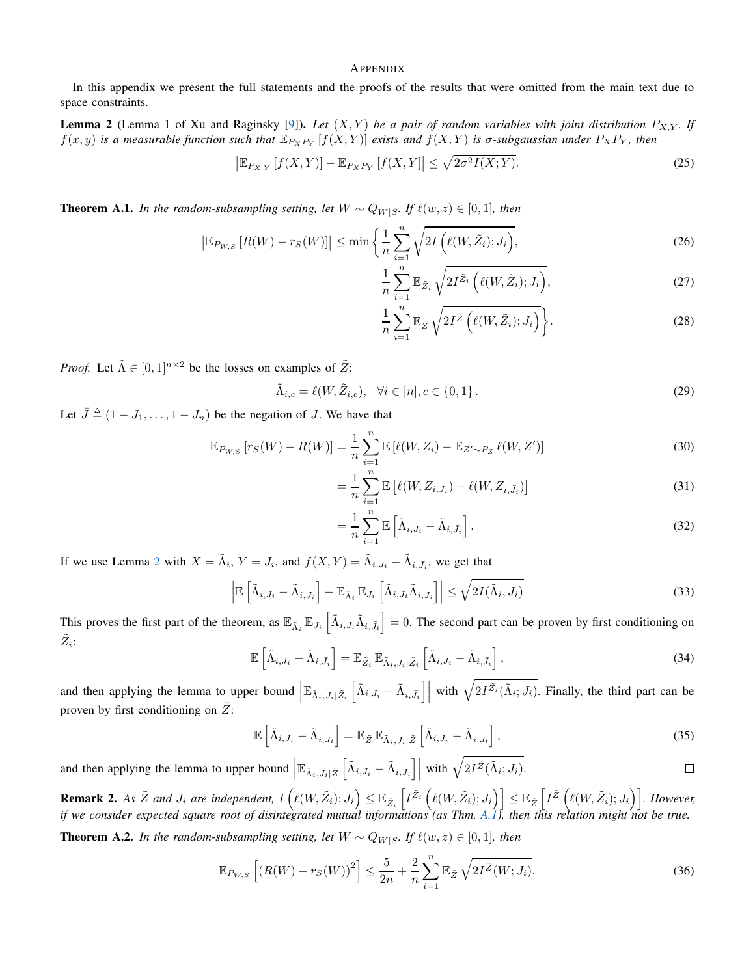# **APPENDIX**

In this appendix we present the full statements and the proofs of the results that were omitted from the main text due to space constraints.

**Lemma 2** (Lemma 1 of Xu and Raginsky [\[9](#page-5-8)]). Let  $(X, Y)$  be a pair of random variables with joint distribution  $P_{X,Y}$ . If  $f(x, y)$  *is a measurable function such that*  $\mathbb{E}_{P_X P_Y} [f(X, Y)]$  *exists and*  $f(X, Y)$  *is*  $\sigma$ *-subgaussian under*  $P_X P_Y$ *, then* 

$$
\left|\mathbb{E}_{P_{X,Y}}\left[f(X,Y)\right]-\mathbb{E}_{P_X P_Y}\left[f(X,Y)\right]\leq \sqrt{2\sigma^2 I(X;Y)}.\tag{25}
$$

**Theorem A.1.** *In the random-subsampling setting, let*  $W ∼ Q_{W|S}$ *. If*  $\ell(w, z) ∈ [0, 1]$ *, then* 

$$
\left|\mathbb{E}_{P_{W,S}}\left[R(W)-r_{S}(W)\right]\right| \leq \min\left\{\frac{1}{n}\sum_{i=1}^{n}\sqrt{2I\left(\ell(W,\tilde{Z}_{i});J_{i}\right)},\right\}
$$
\n(26)

<span id="page-6-2"></span>
$$
\frac{1}{n}\sum_{i=1}^{n}\mathbb{E}_{\tilde{Z}_i}\sqrt{2I^{\tilde{Z}_i}\left(\ell(W,\tilde{Z}_i);J_i\right)},\tag{27}
$$

<span id="page-6-1"></span>
$$
\frac{1}{n}\sum_{i=1}^{n}\mathbb{E}_{\tilde{Z}}\sqrt{2I^{\tilde{Z}}\left(\ell(W,\tilde{Z}_{i});J_{i}\right)}\bigg\}.
$$
\n(28)

*Proof.* Let  $\tilde{\Lambda} \in [0, 1]^{n \times 2}$  be the losses on examples of  $\tilde{Z}$ :

$$
\tilde{\Lambda}_{i,c} = \ell(W, \tilde{Z}_{i,c}), \quad \forall i \in [n], c \in \{0, 1\}.
$$
\n(29)

Let  $\bar{J} \triangleq (1 - J_1, \ldots, 1 - J_n)$  be the negation of J. We have that

$$
\mathbb{E}_{P_{W,S}}\left[r_{S}(W) - R(W)\right] = \frac{1}{n} \sum_{i=1}^{n} \mathbb{E}\left[\ell(W, Z_{i}) - \mathbb{E}_{Z' \sim P_{Z}} \ell(W, Z')\right]
$$
(30)

$$
= \frac{1}{n} \sum_{i=1}^{n} \mathbb{E} \left[ \ell(W, Z_{i, J_i}) - \ell(W, Z_{i, \bar{J}_i}) \right]
$$
(31)

$$
= \frac{1}{n} \sum_{i=1}^{n} \mathbb{E} \left[ \tilde{\Lambda}_{i,J_i} - \tilde{\Lambda}_{i,\bar{J}_i} \right]. \tag{32}
$$

If we use Lemma [2](#page-6-2) with  $X = \tilde{\Lambda}_i$ ,  $Y = J_i$ , and  $f(X, Y) = \tilde{\Lambda}_{i, J_i} - \tilde{\Lambda}_{i, \bar{J}_i}$ , we get that

$$
\left| \mathbb{E} \left[ \tilde{\Lambda}_{i,J_i} - \tilde{\Lambda}_{i,\bar{J}_i} \right] - \mathbb{E}_{\tilde{\Lambda}_i} \mathbb{E}_{J_i} \left[ \tilde{\Lambda}_{i,J_i} \tilde{\Lambda}_{i,\bar{J}_i} \right] \right| \leq \sqrt{2I(\tilde{\Lambda}_i, J_i)}
$$
(33)

This proves the first part of the theorem, as  $\mathbb{E}_{\tilde{\Lambda}_i} \mathbb{E}_{J_i} \left[ \tilde{\Lambda}_{i,J_i} \tilde{\Lambda}_{i,\bar{J}_i} \right] = 0$ . The second part can be proven by first conditioning on  $\tilde{Z}_i$ :

$$
\mathbb{E}\left[\tilde{\Lambda}_{i,J_i} - \tilde{\Lambda}_{i,\bar{J}_i}\right] = \mathbb{E}_{\tilde{Z}_i} \mathbb{E}_{\tilde{\Lambda}_i,J_i|\tilde{Z}_i} \left[\tilde{\Lambda}_{i,J_i} - \tilde{\Lambda}_{i,\bar{J}_i}\right],\tag{34}
$$

and then applying the lemma to upper bound  $\left|\mathbb{E}_{\tilde{\Lambda}_i, J_i\mid \tilde{Z}_i} \left[\tilde{\Lambda}_{i, J_i} - \tilde{\Lambda}_{i, \bar{J}_i}\right]\right|$  with  $\sqrt{2I^{\tilde{Z}_i}(\tilde{\Lambda}_i; J_i)}$ . Finally, the third part can be proven by first conditioning on  $\tilde{Z}$ :

<span id="page-6-0"></span>
$$
\mathbb{E}\left[\tilde{\Lambda}_{i,J_i} - \tilde{\Lambda}_{i,\bar{J}_i}\right] = \mathbb{E}_{\tilde{Z}}\,\mathbb{E}_{\tilde{\Lambda}_i,J_i|\tilde{Z}}\left[\tilde{\Lambda}_{i,J_i} - \tilde{\Lambda}_{i,\bar{J}_i}\right],\tag{35}
$$

and then applying the lemma to upper bound  $\left| \mathbb{E}_{\tilde{\Lambda}_i, J_i | \tilde{Z}} \left[ \tilde{\Lambda}_{i, J_i} - \tilde{\Lambda}_{i, \bar{J}_i} \right] \right|$  with  $\sqrt{2I^{\tilde{Z}}(\tilde{\Lambda}_i; J_i)}$ .  $\Box$ 

**Remark 2.** As  $\tilde{Z}$  and  $J_i$  are independent,  $I\left(\ell(W, \tilde{Z}_i); J_i\right) \leq \mathbb{E}_{\tilde{Z}_i}\left[I^{\tilde{Z}_i}\left(\ell(W, \tilde{Z}_i); J_i\right)\right] \leq \mathbb{E}_{\tilde{Z}}\left[I^{\tilde{Z}}\left(\ell(W, \tilde{Z}_i); J_i\right)\right]$ . However, *if we consider expected square root of disintegrated mutual informations (as Thm. [A.1\)](#page-6-1), then this relation might not be true.*

**Theorem A.2.** *In the random-subsampling setting, let*  $W \sim Q_{W|S}$ *. If*  $\ell(w, z) \in [0, 1]$ *, then* 

$$
\mathbb{E}_{P_{W,S}}\left[ \left( R(W) - r_S(W) \right)^2 \right] \le \frac{5}{2n} + \frac{2}{n} \sum_{i=1}^n \mathbb{E}_{\tilde{Z}} \sqrt{2I^{\tilde{Z}}(W; J_i)}.
$$
 (36)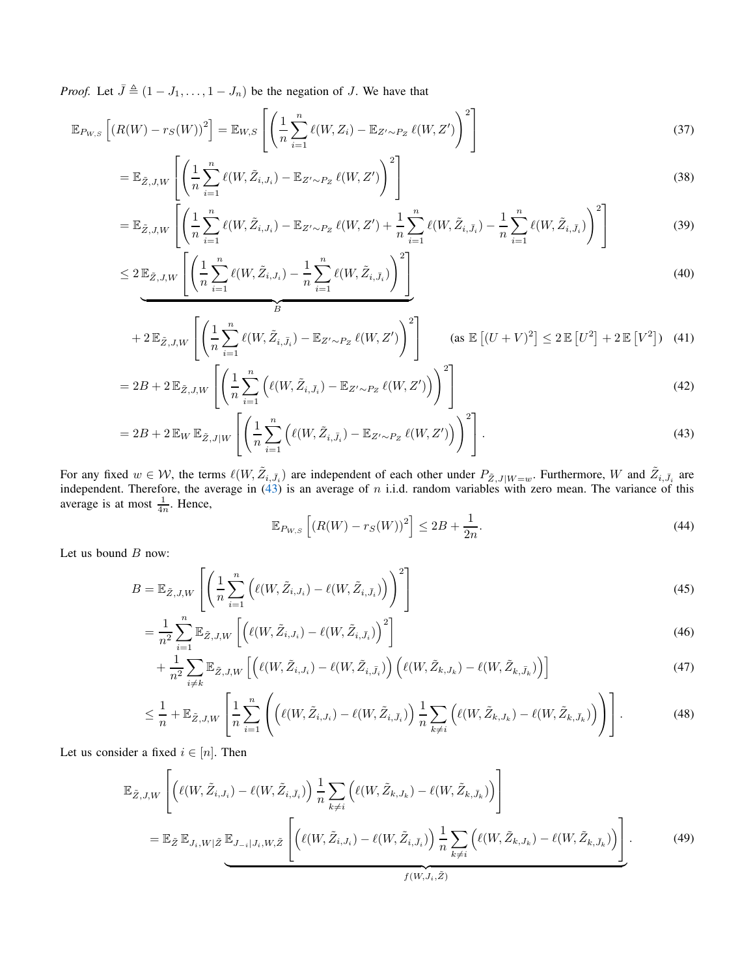*Proof.* Let  $\bar{J} \triangleq (1 - J_1, \ldots, 1 - J_n)$  be the negation of J. We have that

$$
\mathbb{E}_{P_{W,S}}\left[\left(R(W) - r_S(W)\right)^2\right] = \mathbb{E}_{W,S}\left[\left(\frac{1}{n}\sum_{i=1}^n \ell(W,Z_i) - \mathbb{E}_{Z' \sim P_Z} \ell(W,Z')\right)^2\right]
$$
\n(37)

$$
= \mathbb{E}_{\tilde{Z},J,W} \left[ \left( \frac{1}{n} \sum_{i=1}^{n} \ell(W, \tilde{Z}_{i,J_i}) - \mathbb{E}_{Z' \sim P_Z} \ell(W, Z') \right)^2 \right]
$$
\n
$$
\left[ \left( \mathcal{L}_{\tilde{Z}} \right) \right] \tag{38}
$$

$$
= \mathbb{E}_{\tilde{Z},J,W} \left[ \left( \frac{1}{n} \sum_{i=1}^{n} \ell(W, \tilde{Z}_{i,J_i}) - \mathbb{E}_{Z' \sim P_Z} \ell(W, Z') + \frac{1}{n} \sum_{i=1}^{n} \ell(W, \tilde{Z}_{i,\bar{J}_i}) - \frac{1}{n} \sum_{i=1}^{n} \ell(W, \tilde{Z}_{i,\bar{J}_i}) \right)^2 \right]
$$
(39)

$$
\leq 2 \mathbb{E}_{\tilde{Z},J,W} \left[ \left( \frac{1}{n} \sum_{i=1}^{n} \ell(W, \tilde{Z}_{i,J_i}) - \frac{1}{n} \sum_{i=1}^{n} \ell(W, \tilde{Z}_{i,\bar{J}_i}) \right)^2 \right] \tag{40}
$$

$$
+2\mathbb{E}_{\tilde{Z},J,W}\left[\left(\frac{1}{n}\sum_{i=1}^n\ell(W,\tilde{Z}_{i,\bar{J}_i})-\mathbb{E}_{Z'\sim P_Z}\ell(W,Z')\right)^2\right] \qquad \text{(as } \mathbb{E}\left[(U+V)^2\right] \leq 2\mathbb{E}\left[U^2\right]+2\mathbb{E}\left[V^2\right] \tag{41}
$$

$$
=2B+2\mathbb{E}_{\tilde{Z},J,W}\left[\left(\frac{1}{n}\sum_{i=1}^{n}\left(\ell(W,\tilde{Z}_{i,\bar{J}_i})-\mathbb{E}_{Z'\sim P_Z}\ell(W,Z')\right)\right)^2\right]
$$
\n<sup>(42)</sup>

$$
=2B+2\mathbb{E}_W\mathbb{E}_{\tilde{Z},J|W}\left[\left(\frac{1}{n}\sum_{i=1}^n\left(\ell(W,\tilde{Z}_{i,\bar{J}_i})-\mathbb{E}_{Z'\sim P_Z}\ell(W,Z')\right)\right)^2\right].\tag{43}
$$

For any fixed  $w \in W$ , the terms  $\ell(W, \tilde{Z}_{i, \bar{J}_i})$  are independent of each other under  $P_{\tilde{Z}, J|W=w}$ . Furthermore, W and  $\tilde{Z}_{i, \bar{J}_i}$  are independent. Therefore, the average in [\(43\)](#page-7-0) is an average of n i.i.d. random variables with zero mean. The variance of this average is at most  $\frac{1}{4n}$ . Hence,

<span id="page-7-2"></span><span id="page-7-1"></span><span id="page-7-0"></span>
$$
\mathbb{E}_{P_{W,S}}\left[ (R(W) - r_S(W))^2 \right] \le 2B + \frac{1}{2n}.\tag{44}
$$

Let us bound  $B$  now:

$$
B = \mathbb{E}_{\tilde{Z},J,W} \left[ \left( \frac{1}{n} \sum_{i=1}^{n} \left( \ell(W, \tilde{Z}_{i,J_i}) - \ell(W, \tilde{Z}_{i,\bar{J}_i}) \right) \right)^2 \right]
$$
(45)

$$
=\frac{1}{n^2}\sum_{i=1}^n\mathbb{E}_{\tilde{Z},J,W}\left[\left(\ell(W,\tilde{Z}_{i,J_i})-\ell(W,\tilde{Z}_{i,\bar{J}_i})\right)^2\right]
$$
\n(46)

$$
+\frac{1}{n^2}\sum_{i\neq k}\mathbb{E}_{\tilde{Z},J,W}\left[\left(\ell(W,\tilde{Z}_{i,J_i})-\ell(W,\tilde{Z}_{i,\bar{J}_i})\right)\left(\ell(W,\tilde{Z}_{k,J_k})-\ell(W,\tilde{Z}_{k,\bar{J}_k})\right)\right]
$$
(47)

$$
\leq \frac{1}{n} + \mathbb{E}_{\tilde{Z},J,W}\left[\frac{1}{n}\sum_{i=1}^{n}\left(\left(\ell(W,\tilde{Z}_{i,J_i}) - \ell(W,\tilde{Z}_{i,\bar{J}_i})\right)\frac{1}{n}\sum_{k\neq i}\left(\ell(W,\tilde{Z}_{k,J_k}) - \ell(W,\tilde{Z}_{k,\bar{J}_k})\right)\right)\right].
$$
\n(48)

Let us consider a fixed  $i \in [n]$ . Then

$$
\mathbb{E}_{\tilde{Z},J,W} \left[ \left( \ell(W, \tilde{Z}_{i,J_i}) - \ell(W, \tilde{Z}_{i,\bar{J}_i}) \right) \frac{1}{n} \sum_{k \neq i} \left( \ell(W, \tilde{Z}_{k,J_k}) - \ell(W, \tilde{Z}_{k,\bar{J}_k}) \right) \right]
$$
\n
$$
= \mathbb{E}_{\tilde{Z}} \mathbb{E}_{J_i,W|\tilde{Z}} \mathbb{E}_{J_{-i}|J_i,W,\tilde{Z}} \left[ \left( \ell(W, \tilde{Z}_{i,J_i}) - \ell(W, \tilde{Z}_{i,\bar{J}_i}) \right) \frac{1}{n} \sum_{k \neq i} \left( \ell(W, \tilde{Z}_{k,J_k}) - \ell(W, \tilde{Z}_{k,\bar{J}_k}) \right) \right].
$$
\n(49)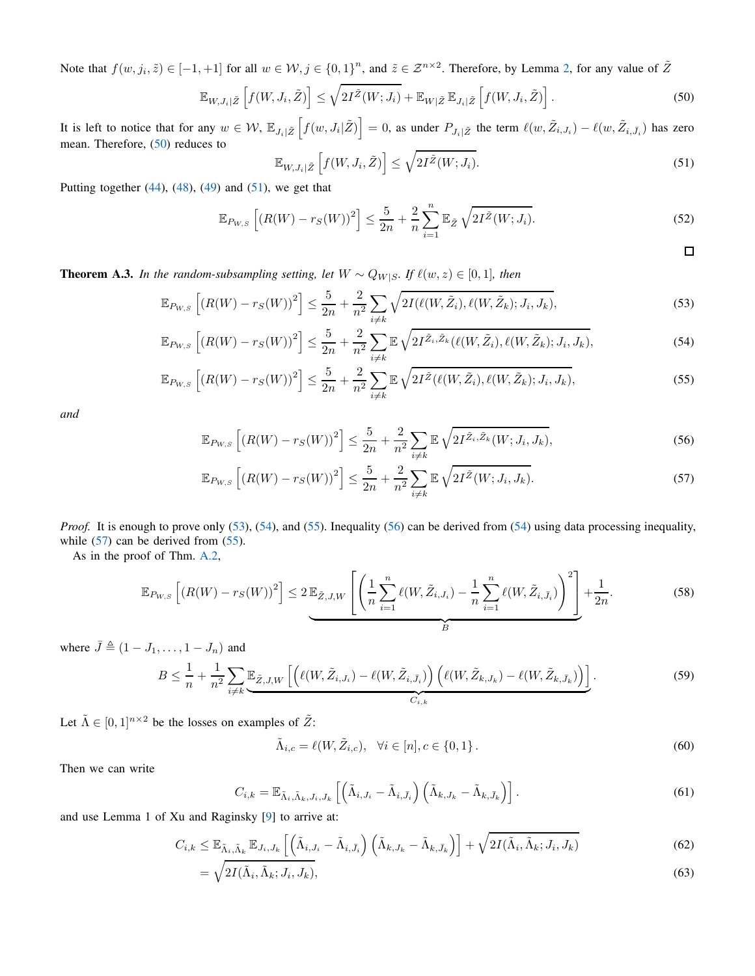Note that  $f(w, j_i, \tilde{z}) \in [-1, +1]$  for all  $w \in \mathcal{W}, j \in \{0, 1\}^n$ , and  $\tilde{z} \in \mathcal{Z}^{n \times 2}$ . Therefore, by Lemma [2,](#page-6-2) for any value of  $\tilde{Z}$ 

$$
\mathbb{E}_{W,J_i|\tilde{Z}}\left[f(W,J_i,\tilde{Z})\right] \leq \sqrt{2I^{\tilde{Z}}(W;J_i)} + \mathbb{E}_{W|\tilde{Z}}\,\mathbb{E}_{J_i|\tilde{Z}}\left[f(W,J_i,\tilde{Z})\right].\tag{50}
$$

It is left to notice that for any  $w \in \mathcal{W}$ ,  $\mathbb{E}_{J_i|\tilde{Z}}\left[f(w,J_i|\tilde{Z})\right] = 0$ , as under  $P_{J_i|\tilde{Z}}$  the term  $\ell(w,\tilde{Z}_{i,J_i}) - \ell(w,\tilde{Z}_{i,\bar{J}_i})$  has zero mean. Therefore, [\(50\)](#page-8-1) reduces to

<span id="page-8-5"></span><span id="page-8-4"></span><span id="page-8-3"></span><span id="page-8-2"></span><span id="page-8-1"></span>
$$
\mathbb{E}_{W, J_i | \tilde{Z}} \left[ f(W, J_i, \tilde{Z}) \right] \le \sqrt{2I^{\tilde{Z}}(W; J_i)}.
$$
\n(51)

Putting together  $(44)$ ,  $(48)$ ,  $(49)$  and  $(51)$ , we get that

$$
\mathbb{E}_{P_{W,S}}\left[\left(R(W) - r_S(W)\right)^2\right] \le \frac{5}{2n} + \frac{2}{n} \sum_{i=1}^n \mathbb{E}_{\tilde{Z}}\sqrt{2I^{\tilde{Z}}(W;J_i)}.
$$
\n
$$
\Box
$$

**Theorem A.3.** *In the random-subsampling setting, let*  $W ∼ Q_{W|S}$ *. If*  $\ell(w, z) ∈ [0, 1]$ *, then* 

$$
\mathbb{E}_{P_{W,S}}\left[ (R(W) - r_S(W))^2 \right] \le \frac{5}{2n} + \frac{2}{n^2} \sum_{i \ne k} \sqrt{2I(\ell(W, \tilde{Z}_i), \ell(W, \tilde{Z}_k); J_i, J_k)},\tag{53}
$$

$$
\mathbb{E}_{P_{W,S}}\left[ (R(W) - r_S(W))^2 \right] \le \frac{5}{2n} + \frac{2}{n^2} \sum_{i \ne k} \mathbb{E} \sqrt{2I^{\tilde{Z}_i, \tilde{Z}_k} (\ell(W, \tilde{Z}_i), \ell(W, \tilde{Z}_k); J_i, J_k)},
$$
(54)

$$
\mathbb{E}_{P_{W,S}}\left[\left(R(W) - r_S(W)\right)^2\right] \le \frac{5}{2n} + \frac{2}{n^2} \sum_{i \neq k} \mathbb{E}\sqrt{2I^{\tilde{Z}}(\ell(W,\tilde{Z}_i),\ell(W,\tilde{Z}_k);J_i,J_k)},\tag{55}
$$

*and*

<span id="page-8-6"></span><span id="page-8-0"></span>
$$
\mathbb{E}_{P_{W,S}}\left[ \left( R(W) - r_S(W) \right)^2 \right] \le \frac{5}{2n} + \frac{2}{n^2} \sum_{i \neq k} \mathbb{E} \sqrt{2I^{\tilde{Z}_i, \tilde{Z}_k}(W; J_i, J_k)},\tag{56}
$$

$$
\mathbb{E}_{P_{W,S}}\left[ \left( R(W) - r_S(W) \right)^2 \right] \le \frac{5}{2n} + \frac{2}{n^2} \sum_{i \neq k} \mathbb{E} \sqrt{2I^{\tilde{Z}}(W; J_i, J_k)}.
$$
 (57)

*Proof.* It is enough to prove only [\(53\)](#page-8-3), [\(54\)](#page-8-4), and [\(55\)](#page-8-5). Inequality [\(56\)](#page-8-6) can be derived from [\(54\)](#page-8-4) using data processing inequality, while [\(57\)](#page-8-0) can be derived from [\(55\)](#page-8-5).

As in the proof of Thm. [A.2,](#page-6-0)

$$
\mathbb{E}_{P_{W,S}}\left[ (R(W) - r_S(W))^2 \right] \le 2 \mathbb{E}_{\tilde{Z},J,W} \left[ \left( \frac{1}{n} \sum_{i=1}^n \ell(W, \tilde{Z}_{i,J_i}) - \frac{1}{n} \sum_{i=1}^n \ell(W, \tilde{Z}_{i,\bar{J}_i}) \right)^2 \right] + \frac{1}{2n}.
$$
 (58)

where  $\bar{J} \triangleq (1 - J_1, \ldots, 1 - J_n)$  and

$$
B \leq \frac{1}{n} + \frac{1}{n^2} \sum_{i \neq k} \underbrace{\mathbb{E}_{\tilde{Z},J,W} \left[ \left( \ell(W, \tilde{Z}_{i,J_i}) - \ell(W, \tilde{Z}_{i,\bar{J}_i}) \right) \left( \ell(W, \tilde{Z}_{k,J_k}) - \ell(W, \tilde{Z}_{k,\bar{J}_k}) \right) \right]}_{C_{i,k}}.
$$
\n
$$
(59)
$$

Let  $\tilde{\Lambda} \in [0, 1]^{n \times 2}$  be the losses on examples of  $\tilde{Z}$ :

$$
\tilde{\Lambda}_{i,c} = \ell(W, \tilde{Z}_{i,c}), \quad \forall i \in [n], c \in \{0, 1\}.
$$
\n(60)

Then we can write

$$
C_{i,k} = \mathbb{E}_{\tilde{\Lambda}_i, \tilde{\Lambda}_k, J_i, J_k} \left[ \left( \tilde{\Lambda}_{i,J_i} - \tilde{\Lambda}_{i,\bar{J}_i} \right) \left( \tilde{\Lambda}_{k,J_k} - \tilde{\Lambda}_{k,\bar{J}_k} \right) \right]. \tag{61}
$$

and use Lemma 1 of Xu and Raginsky [\[9\]](#page-5-8) to arrive at:

$$
C_{i,k} \leq \mathbb{E}_{\tilde{\Lambda}_i, \tilde{\Lambda}_k} \mathbb{E}_{J_i, J_k} \left[ \left( \tilde{\Lambda}_{i,J_i} - \tilde{\Lambda}_{i,\bar{J}_i} \right) \left( \tilde{\Lambda}_{k,J_k} - \tilde{\Lambda}_{k,\bar{J}_k} \right) \right] + \sqrt{2I(\tilde{\Lambda}_i, \tilde{\Lambda}_k; J_i, J_k)} \tag{62}
$$

$$
= \sqrt{2I(\tilde{\Lambda}_i, \tilde{\Lambda}_k; J_i, J_k)},\tag{63}
$$